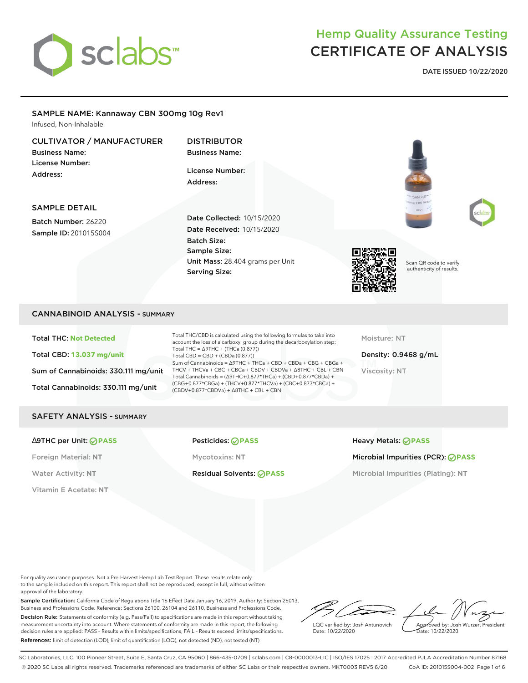

DATE ISSUED 10/22/2020

# SAMPLE NAME: Kannaway CBN 300mg 10g Rev1

Infused, Non-Inhalable

### CULTIVATOR / MANUFACTURER

Business Name: License Number: Address:

DISTRIBUTOR **Business Name:** 

License Number: Address:

### SAMPLE DETAIL

Batch Number: 26220 Sample ID: 201015S004 Date Collected: 10/15/2020 Date Received: 10/15/2020 Batch Size: Sample Size: Unit Mass: 28.404 grams per Unit Serving Size:







Scan QR code to verify authenticity of results.

### CANNABINOID ANALYSIS - SUMMARY

Total THC: **Not Detected** Total CBD: **13.037 mg/unit** Sum of Cannabinoids: 330.111 mg/unit Total Cannabinoids: 330.111 mg/unit

Total THC/CBD is calculated using the following formulas to take into account the loss of a carboxyl group during the decarboxylation step: Total THC = ∆9THC + (THCa (0.877)) Total CBD = CBD + (CBDa (0.877)) Sum of Cannabinoids = ∆9THC + THCa + CBD + CBDa + CBG + CBGa + THCV + THCVa + CBC + CBCa + CBDV + CBDVa + ∆8THC + CBL + CBN Total Cannabinoids = (∆9THC+0.877\*THCa) + (CBD+0.877\*CBDa) + (CBG+0.877\*CBGa) + (THCV+0.877\*THCVa) + (CBC+0.877\*CBCa) + (CBDV+0.877\*CBDVa) + ∆8THC + CBL + CBN

Moisture: NT

Density: 0.9468 g/mL Viscosity: NT

### SAFETY ANALYSIS - SUMMARY

#### ∆9THC per Unit: **PASS** Pesticides: **PASS** Heavy Metals: **PASS**

Vitamin E Acetate: **NT**

Foreign Material: **NT** Mycotoxins: **NT** Microbial Impurities (PCR): **PASS**

Water Activity: NT **Residual Solvents:** *PASS* Microbial Impurities (Plating): NT

For quality assurance purposes. Not a Pre-Harvest Hemp Lab Test Report. These results relate only to the sample included on this report. This report shall not be reproduced, except in full, without written approval of the laboratory.

Sample Certification: California Code of Regulations Title 16 Effect Date January 16, 2019. Authority: Section 26013, Business and Professions Code. Reference: Sections 26100, 26104 and 26110, Business and Professions Code. Decision Rule: Statements of conformity (e.g. Pass/Fail) to specifications are made in this report without taking measurement uncertainty into account. Where statements of conformity are made in this report, the following decision rules are applied: PASS – Results within limits/specifications, FAIL – Results exceed limits/specifications. References: limit of detection (LOD), limit of quantification (LOQ), not detected (ND), not tested (NT)

LQC verified by: Josh Antunovich Date: 10/22/2020

Approved by: Josh Wurzer, President Pate: 10/22/2020

SC Laboratories, LLC. 100 Pioneer Street, Suite E, Santa Cruz, CA 95060 | 866-435-0709 | sclabs.com | C8-0000013-LIC | ISO/IES 17025 : 2017 Accredited PJLA Accreditation Number 87168 © 2020 SC Labs all rights reserved. Trademarks referenced are trademarks of either SC Labs or their respective owners. MKT0003 REV5 6/20 CoA ID: 201015S004-002 Page 1 of 6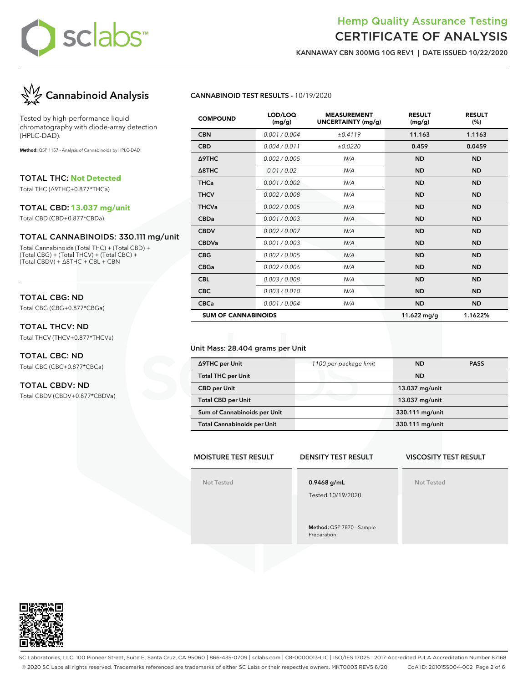

KANNAWAY CBN 300MG 10G REV1 | DATE ISSUED 10/22/2020



Tested by high-performance liquid chromatography with diode-array detection (HPLC-DAD).

**Method:** QSP 1157 - Analysis of Cannabinoids by HPLC-DAD

TOTAL THC: **Not Detected**

Total THC (∆9THC+0.877\*THCa)

#### TOTAL CBD: **13.037 mg/unit**

Total CBD (CBD+0.877\*CBDa)

#### TOTAL CANNABINOIDS: 330.111 mg/unit

Total Cannabinoids (Total THC) + (Total CBD) + (Total CBG) + (Total THCV) + (Total CBC) + (Total CBDV) + ∆8THC + CBL + CBN

### TOTAL CBG: ND

Total CBG (CBG+0.877\*CBGa)

### TOTAL THCV: ND

Total THCV (THCV+0.877\*THCVa)

### TOTAL CBC: ND Total CBC (CBC+0.877\*CBCa)

### TOTAL CBDV: ND

Total CBDV (CBDV+0.877\*CBDVa)

### CANNABINOID TEST RESULTS - 10/19/2020

| <b>COMPOUND</b>            | LOD/LOQ<br>(mg/g) | <b>MEASUREMENT</b><br><b>UNCERTAINTY (mg/g)</b> | <b>RESULT</b><br>(mg/g) | <b>RESULT</b><br>(%) |
|----------------------------|-------------------|-------------------------------------------------|-------------------------|----------------------|
| <b>CBN</b>                 | 0.001 / 0.004     | ±0.4119                                         | 11.163                  | 1.1163               |
| <b>CBD</b>                 | 0.004 / 0.011     | ±0.0220                                         | 0.459                   | 0.0459               |
| Δ9THC                      | 0.002 / 0.005     | N/A                                             | <b>ND</b>               | <b>ND</b>            |
| $\triangle$ 8THC           | 0.01/0.02         | N/A                                             | <b>ND</b>               | <b>ND</b>            |
| <b>THCa</b>                | 0.001 / 0.002     | N/A                                             | <b>ND</b>               | <b>ND</b>            |
| <b>THCV</b>                | 0.002 / 0.008     | N/A                                             | <b>ND</b>               | <b>ND</b>            |
| <b>THCVa</b>               | 0.002 / 0.005     | N/A                                             | <b>ND</b>               | <b>ND</b>            |
| <b>CBDa</b>                | 0.001/0.003       | N/A                                             | <b>ND</b>               | <b>ND</b>            |
| <b>CBDV</b>                | 0.002 / 0.007     | N/A                                             | <b>ND</b>               | <b>ND</b>            |
| <b>CBDVa</b>               | 0.001 / 0.003     | N/A                                             | <b>ND</b>               | <b>ND</b>            |
| <b>CBG</b>                 | 0.002 / 0.005     | N/A                                             | <b>ND</b>               | <b>ND</b>            |
| <b>CBGa</b>                | 0.002 / 0.006     | N/A                                             | <b>ND</b>               | <b>ND</b>            |
| <b>CBL</b>                 | 0.003 / 0.008     | N/A                                             | <b>ND</b>               | <b>ND</b>            |
| <b>CBC</b>                 | 0.003/0.010       | N/A                                             | <b>ND</b>               | <b>ND</b>            |
| <b>CBCa</b>                | 0.001 / 0.004     | N/A                                             | <b>ND</b>               | <b>ND</b>            |
| <b>SUM OF CANNABINOIDS</b> |                   |                                                 | 11.622 mg/g             | 1.1622%              |

#### Unit Mass: 28.404 grams per Unit

| ∆9THC per Unit                     | 1100 per-package limit | <b>ND</b>       | <b>PASS</b> |
|------------------------------------|------------------------|-----------------|-------------|
| <b>Total THC per Unit</b>          |                        | <b>ND</b>       |             |
| <b>CBD</b> per Unit                |                        | 13.037 mg/unit  |             |
| <b>Total CBD per Unit</b>          |                        | 13.037 mg/unit  |             |
| Sum of Cannabinoids per Unit       |                        | 330.111 mg/unit |             |
| <b>Total Cannabinoids per Unit</b> |                        | 330.111 mg/unit |             |

### MOISTURE TEST RESULT

Not Tested

### DENSITY TEST RESULT

VISCOSITY TEST RESULT

Not Tested

Tested 10/19/2020

0.9468 g/mL

Method: QSP 7870 - Sample Preparation



SC Laboratories, LLC. 100 Pioneer Street, Suite E, Santa Cruz, CA 95060 | 866-435-0709 | sclabs.com | C8-0000013-LIC | ISO/IES 17025 : 2017 Accredited PJLA Accreditation Number 87168 © 2020 SC Labs all rights reserved. Trademarks referenced are trademarks of either SC Labs or their respective owners. MKT0003 REV5 6/20 CoA ID: 201015S004-002 Page 2 of 6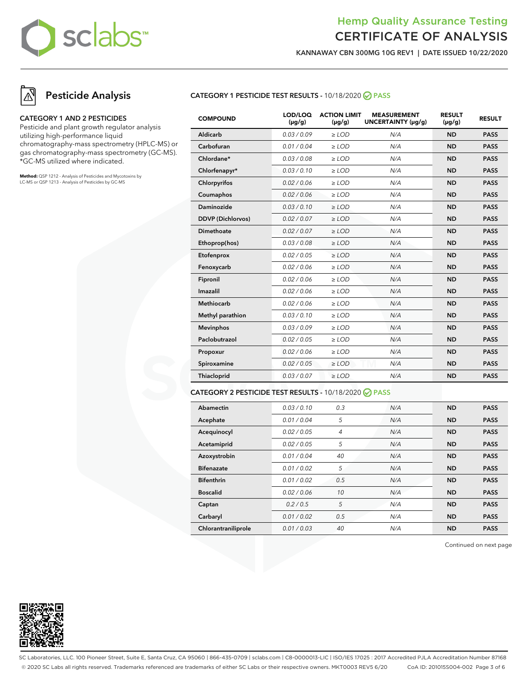

KANNAWAY CBN 300MG 10G REV1 | DATE ISSUED 10/22/2020

# Pesticide Analysis

### CATEGORY 1 AND 2 PESTICIDES

Pesticide and plant growth regulator analysis utilizing high-performance liquid chromatography-mass spectrometry (HPLC-MS) or gas chromatography-mass spectrometry (GC-MS). \*GC-MS utilized where indicated.

**Method:** QSP 1212 - Analysis of Pesticides and Mycotoxins by LC-MS or QSP 1213 - Analysis of Pesticides by GC-MS

### CATEGORY 1 PESTICIDE TEST RESULTS - 10/18/2020 PASS

| <b>COMPOUND</b>          | LOD/LOQ<br>$(\mu g/g)$ | <b>ACTION LIMIT</b><br>$(\mu q/q)$ | <b>MEASUREMENT</b><br>UNCERTAINTY (µg/g) | <b>RESULT</b><br>$(\mu g/g)$ | <b>RESULT</b> |
|--------------------------|------------------------|------------------------------------|------------------------------------------|------------------------------|---------------|
| Aldicarb                 | 0.03/0.09              | $\ge$ LOD                          | N/A                                      | <b>ND</b>                    | <b>PASS</b>   |
| Carbofuran               | 0.01 / 0.04            | $\ge$ LOD                          | N/A                                      | <b>ND</b>                    | <b>PASS</b>   |
| Chlordane*               | 0.03 / 0.08            | $\ge$ LOD                          | N/A                                      | <b>ND</b>                    | <b>PASS</b>   |
| Chlorfenapyr*            | 0.03/0.10              | $>$ LOD                            | N/A                                      | <b>ND</b>                    | <b>PASS</b>   |
| Chlorpyrifos             | 0.02 / 0.06            | $\ge$ LOD                          | N/A                                      | <b>ND</b>                    | <b>PASS</b>   |
| Coumaphos                | 0.02 / 0.06            | $\ge$ LOD                          | N/A                                      | <b>ND</b>                    | <b>PASS</b>   |
| Daminozide               | 0.03/0.10              | $>$ LOD                            | N/A                                      | <b>ND</b>                    | <b>PASS</b>   |
| <b>DDVP</b> (Dichlorvos) | 0.02 / 0.07            | $\ge$ LOD                          | N/A                                      | <b>ND</b>                    | <b>PASS</b>   |
| <b>Dimethoate</b>        | 0.02 / 0.07            | $\ge$ LOD                          | N/A                                      | <b>ND</b>                    | <b>PASS</b>   |
| Ethoprop(hos)            | 0.03 / 0.08            | $\ge$ LOD                          | N/A                                      | <b>ND</b>                    | <b>PASS</b>   |
| Etofenprox               | 0.02 / 0.05            | $\ge$ LOD                          | N/A                                      | <b>ND</b>                    | <b>PASS</b>   |
| Fenoxycarb               | 0.02 / 0.06            | $\ge$ LOD                          | N/A                                      | <b>ND</b>                    | <b>PASS</b>   |
| Fipronil                 | 0.02 / 0.06            | $\ge$ LOD                          | N/A                                      | <b>ND</b>                    | <b>PASS</b>   |
| Imazalil                 | 0.02 / 0.06            | $\ge$ LOD                          | N/A                                      | <b>ND</b>                    | <b>PASS</b>   |
| <b>Methiocarb</b>        | 0.02 / 0.06            | $>$ LOD                            | N/A                                      | <b>ND</b>                    | <b>PASS</b>   |
| Methyl parathion         | 0.03/0.10              | $\ge$ LOD                          | N/A                                      | <b>ND</b>                    | <b>PASS</b>   |
| <b>Mevinphos</b>         | 0.03/0.09              | $\ge$ LOD                          | N/A                                      | <b>ND</b>                    | <b>PASS</b>   |
| Paclobutrazol            | 0.02 / 0.05            | $\ge$ LOD                          | N/A                                      | <b>ND</b>                    | <b>PASS</b>   |
| Propoxur                 | 0.02 / 0.06            | $\ge$ LOD                          | N/A                                      | <b>ND</b>                    | <b>PASS</b>   |
| Spiroxamine              | 0.02 / 0.05            | $\ge$ LOD                          | N/A                                      | <b>ND</b>                    | <b>PASS</b>   |
| Thiacloprid              | 0.03 / 0.07            | $\ge$ LOD                          | N/A                                      | <b>ND</b>                    | <b>PASS</b>   |
|                          |                        |                                    |                                          |                              |               |

### CATEGORY 2 PESTICIDE TEST RESULTS - 10/18/2020 PASS

| Abamectin           | 0.03/0.10   | 0.3 | N/A | <b>ND</b> | <b>PASS</b> |
|---------------------|-------------|-----|-----|-----------|-------------|
| Acephate            | 0.01/0.04   | 5   | N/A | <b>ND</b> | <b>PASS</b> |
| Acequinocyl         | 0.02 / 0.05 | 4   | N/A | <b>ND</b> | <b>PASS</b> |
| Acetamiprid         | 0.02 / 0.05 | 5   | N/A | <b>ND</b> | <b>PASS</b> |
| Azoxystrobin        | 0.01 / 0.04 | 40  | N/A | <b>ND</b> | <b>PASS</b> |
| <b>Bifenazate</b>   | 0.01 / 0.02 | 5   | N/A | <b>ND</b> | <b>PASS</b> |
| <b>Bifenthrin</b>   | 0.01 / 0.02 | 0.5 | N/A | <b>ND</b> | <b>PASS</b> |
| <b>Boscalid</b>     | 0.02 / 0.06 | 10  | N/A | <b>ND</b> | <b>PASS</b> |
| Captan              | 0.2/0.5     | 5   | N/A | <b>ND</b> | <b>PASS</b> |
| Carbaryl            | 0.01/0.02   | 0.5 | N/A | <b>ND</b> | <b>PASS</b> |
| Chlorantraniliprole | 0.01/0.03   | 40  | N/A | <b>ND</b> | <b>PASS</b> |

Continued on next page



SC Laboratories, LLC. 100 Pioneer Street, Suite E, Santa Cruz, CA 95060 | 866-435-0709 | sclabs.com | C8-0000013-LIC | ISO/IES 17025 : 2017 Accredited PJLA Accreditation Number 87168 © 2020 SC Labs all rights reserved. Trademarks referenced are trademarks of either SC Labs or their respective owners. MKT0003 REV5 6/20 CoA ID: 201015S004-002 Page 3 of 6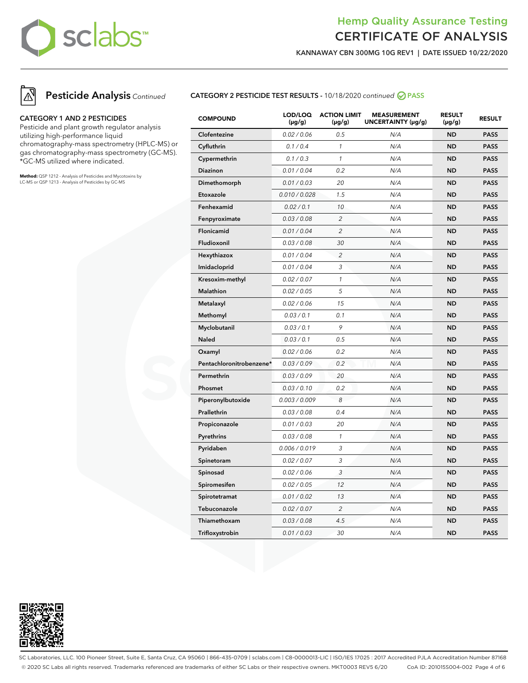

KANNAWAY CBN 300MG 10G REV1 | DATE ISSUED 10/22/2020



### CATEGORY 1 AND 2 PESTICIDES

Pesticide and plant growth regulator analysis utilizing high-performance liquid chromatography-mass spectrometry (HPLC-MS) or gas chromatography-mass spectrometry (GC-MS). \*GC-MS utilized where indicated.

**Method:** QSP 1212 - Analysis of Pesticides and Mycotoxins by LC-MS or QSP 1213 - Analysis of Pesticides by GC-MS

### CATEGORY 2 PESTICIDE TEST RESULTS - 10/18/2020 continued @ PASS

| <b>COMPOUND</b>          | LOD/LOQ<br>$(\mu g/g)$ | <b>ACTION LIMIT</b><br>$(\mu g/g)$ | <b>MEASUREMENT</b><br>UNCERTAINTY (µg/g) | <b>RESULT</b><br>$(\mu g/g)$ | <b>RESULT</b> |
|--------------------------|------------------------|------------------------------------|------------------------------------------|------------------------------|---------------|
| Clofentezine             | 0.02 / 0.06            | 0.5                                | N/A                                      | <b>ND</b>                    | <b>PASS</b>   |
| Cyfluthrin               | 0.1 / 0.4              | $\mathcal{I}$                      | N/A                                      | <b>ND</b>                    | <b>PASS</b>   |
| Cypermethrin             | 0.1 / 0.3              | $\mathcal{I}$                      | N/A                                      | <b>ND</b>                    | <b>PASS</b>   |
| Diazinon                 | 0.01 / 0.04            | 0.2                                | N/A                                      | <b>ND</b>                    | <b>PASS</b>   |
| Dimethomorph             | 0.01 / 0.03            | 20                                 | N/A                                      | <b>ND</b>                    | <b>PASS</b>   |
| Etoxazole                | 0.010 / 0.028          | 1.5                                | N/A                                      | <b>ND</b>                    | <b>PASS</b>   |
| Fenhexamid               | 0.02 / 0.1             | 10                                 | N/A                                      | <b>ND</b>                    | <b>PASS</b>   |
| Fenpyroximate            | 0.03 / 0.08            | $\overline{c}$                     | N/A                                      | <b>ND</b>                    | <b>PASS</b>   |
| Flonicamid               | 0.01 / 0.04            | $\overline{c}$                     | N/A                                      | <b>ND</b>                    | <b>PASS</b>   |
| Fludioxonil              | 0.03 / 0.08            | 30                                 | N/A                                      | <b>ND</b>                    | <b>PASS</b>   |
| Hexythiazox              | 0.01 / 0.04            | $\overline{c}$                     | N/A                                      | <b>ND</b>                    | <b>PASS</b>   |
| Imidacloprid             | 0.01 / 0.04            | 3                                  | N/A                                      | <b>ND</b>                    | <b>PASS</b>   |
| Kresoxim-methyl          | 0.02 / 0.07            | $\mathcal{I}$                      | N/A                                      | <b>ND</b>                    | <b>PASS</b>   |
| Malathion                | 0.02 / 0.05            | 5                                  | N/A                                      | <b>ND</b>                    | <b>PASS</b>   |
| Metalaxyl                | 0.02 / 0.06            | 15                                 | N/A                                      | <b>ND</b>                    | <b>PASS</b>   |
| Methomyl                 | 0.03 / 0.1             | 0.1                                | N/A                                      | <b>ND</b>                    | <b>PASS</b>   |
| Myclobutanil             | 0.03 / 0.1             | 9                                  | N/A                                      | <b>ND</b>                    | <b>PASS</b>   |
| <b>Naled</b>             | 0.03 / 0.1             | 0.5                                | N/A                                      | <b>ND</b>                    | <b>PASS</b>   |
| Oxamyl                   | 0.02 / 0.06            | 0.2                                | N/A                                      | <b>ND</b>                    | <b>PASS</b>   |
| Pentachloronitrobenzene* | 0.03 / 0.09            | 0.2                                | N/A                                      | <b>ND</b>                    | <b>PASS</b>   |
| Permethrin               | 0.03 / 0.09            | 20                                 | N/A                                      | <b>ND</b>                    | <b>PASS</b>   |
| Phosmet                  | 0.03 / 0.10            | 0.2                                | N/A                                      | <b>ND</b>                    | <b>PASS</b>   |
| Piperonylbutoxide        | 0.003 / 0.009          | 8                                  | N/A                                      | <b>ND</b>                    | <b>PASS</b>   |
| Prallethrin              | 0.03 / 0.08            | 0.4                                | N/A                                      | <b>ND</b>                    | <b>PASS</b>   |
| Propiconazole            | 0.01 / 0.03            | 20                                 | N/A                                      | <b>ND</b>                    | <b>PASS</b>   |
| Pyrethrins               | 0.03 / 0.08            | $\mathcal{I}$                      | N/A                                      | <b>ND</b>                    | <b>PASS</b>   |
| Pyridaben                | 0.006 / 0.019          | 3                                  | N/A                                      | <b>ND</b>                    | <b>PASS</b>   |
| Spinetoram               | 0.02 / 0.07            | 3                                  | N/A                                      | <b>ND</b>                    | <b>PASS</b>   |
| Spinosad                 | 0.02 / 0.06            | 3                                  | N/A                                      | <b>ND</b>                    | <b>PASS</b>   |
| Spiromesifen             | 0.02 / 0.05            | 12                                 | N/A                                      | <b>ND</b>                    | <b>PASS</b>   |
| Spirotetramat            | 0.01 / 0.02            | 13                                 | N/A                                      | <b>ND</b>                    | <b>PASS</b>   |
| Tebuconazole             | 0.02 / 0.07            | $\overline{c}$                     | N/A                                      | <b>ND</b>                    | <b>PASS</b>   |
| Thiamethoxam             | 0.03 / 0.08            | 4.5                                | N/A                                      | <b>ND</b>                    | <b>PASS</b>   |
| Trifloxystrobin          | 0.01 / 0.03            | 30                                 | N/A                                      | <b>ND</b>                    | <b>PASS</b>   |



SC Laboratories, LLC. 100 Pioneer Street, Suite E, Santa Cruz, CA 95060 | 866-435-0709 | sclabs.com | C8-0000013-LIC | ISO/IES 17025 : 2017 Accredited PJLA Accreditation Number 87168 © 2020 SC Labs all rights reserved. Trademarks referenced are trademarks of either SC Labs or their respective owners. MKT0003 REV5 6/20 CoA ID: 201015S004-002 Page 4 of 6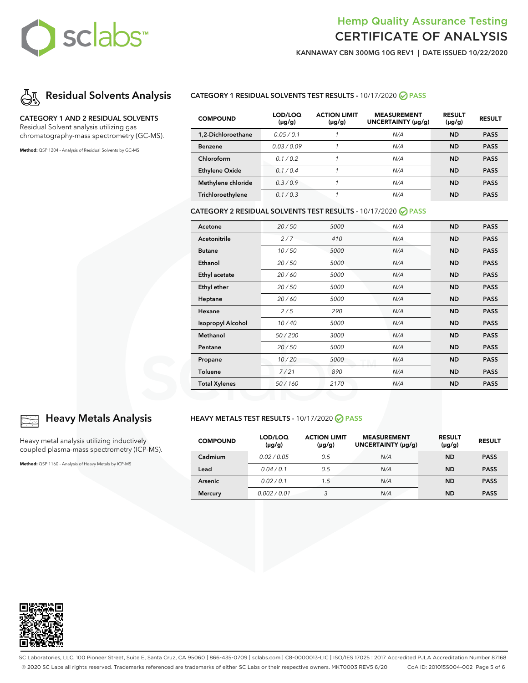

KANNAWAY CBN 300MG 10G REV1 | DATE ISSUED 10/22/2020



### CATEGORY 1 AND 2 RESIDUAL SOLVENTS

Residual Solvent analysis utilizing gas chromatography-mass spectrometry (GC-MS).

**Method:** QSP 1204 - Analysis of Residual Solvents by GC-MS

### CATEGORY 1 RESIDUAL SOLVENTS TEST RESULTS - 10/17/2020 PASS

| <b>COMPOUND</b>       | LOD/LOQ<br>$(\mu g/g)$ | <b>ACTION LIMIT</b><br>$(\mu g/g)$ | <b>MEASUREMENT</b><br>UNCERTAINTY (µq/q) | <b>RESULT</b><br>$(\mu g/g)$ | <b>RESULT</b> |
|-----------------------|------------------------|------------------------------------|------------------------------------------|------------------------------|---------------|
| 1.2-Dichloroethane    | 0.05/0.1               |                                    | N/A                                      | <b>ND</b>                    | <b>PASS</b>   |
| <b>Benzene</b>        | 0.03/0.09              |                                    | N/A                                      | <b>ND</b>                    | <b>PASS</b>   |
| Chloroform            | 0.1/0.2                |                                    | N/A                                      | <b>ND</b>                    | <b>PASS</b>   |
| <b>Ethylene Oxide</b> | 0.1/0.4                |                                    | N/A                                      | <b>ND</b>                    | <b>PASS</b>   |
| Methylene chloride    | 0.3/0.9                |                                    | N/A                                      | <b>ND</b>                    | <b>PASS</b>   |
| Trichloroethylene     | 0.1/0.3                |                                    | N/A                                      | ND                           | <b>PASS</b>   |

#### CATEGORY 2 RESIDUAL SOLVENTS TEST RESULTS - 10/17/2020 PASS

| Acetone                  | 20/50  | 5000 | N/A | <b>ND</b> | <b>PASS</b> |
|--------------------------|--------|------|-----|-----------|-------------|
| Acetonitrile             | 2/7    | 410  | N/A | <b>ND</b> | <b>PASS</b> |
| <b>Butane</b>            | 10/50  | 5000 | N/A | <b>ND</b> | <b>PASS</b> |
| Ethanol                  | 20/50  | 5000 | N/A | <b>ND</b> | <b>PASS</b> |
| Ethyl acetate            | 20/60  | 5000 | N/A | <b>ND</b> | <b>PASS</b> |
| Ethyl ether              | 20/50  | 5000 | N/A | <b>ND</b> | <b>PASS</b> |
| Heptane                  | 20/60  | 5000 | N/A | <b>ND</b> | <b>PASS</b> |
| Hexane                   | 2/5    | 290  | N/A | <b>ND</b> | <b>PASS</b> |
| <b>Isopropyl Alcohol</b> | 10/40  | 5000 | N/A | <b>ND</b> | <b>PASS</b> |
| Methanol                 | 50/200 | 3000 | N/A | <b>ND</b> | <b>PASS</b> |
| Pentane                  | 20/50  | 5000 | N/A | <b>ND</b> | <b>PASS</b> |
| Propane                  | 10/20  | 5000 | N/A | <b>ND</b> | <b>PASS</b> |
| Toluene                  | 7/21   | 890  | N/A | <b>ND</b> | <b>PASS</b> |
| <b>Total Xylenes</b>     | 50/160 | 2170 | N/A | <b>ND</b> | <b>PASS</b> |

#### HEAVY METALS TEST RESULTS - 10/17/2020 @ PASS

| <b>COMPOUND</b> | LOD/LOQ<br>$(\mu g/g)$ | <b>ACTION LIMIT</b><br>$(\mu g/g)$ | <b>MEASUREMENT</b><br>UNCERTAINTY (µg/g) | <b>RESULT</b><br>$(\mu g/g)$ | <b>RESULT</b> |
|-----------------|------------------------|------------------------------------|------------------------------------------|------------------------------|---------------|
| Cadmium         | 0.02/0.05              | 0.5                                | N/A                                      | <b>ND</b>                    | <b>PASS</b>   |
| Lead            | 0.04/0.1               | 0.5                                | N/A                                      | <b>ND</b>                    | <b>PASS</b>   |
| <b>Arsenic</b>  | 0.02 / 0.1             | 1.5                                | N/A                                      | <b>ND</b>                    | <b>PASS</b>   |
| <b>Mercury</b>  | 0.002/0.01             | 3                                  | N/A                                      | <b>ND</b>                    | <b>PASS</b>   |



### Heavy Metals Analysis

Heavy metal analysis utilizing inductively coupled plasma-mass spectrometry (ICP-MS).

**Method:** QSP 1160 - Analysis of Heavy Metals by ICP-MS



SC Laboratories, LLC. 100 Pioneer Street, Suite E, Santa Cruz, CA 95060 | 866-435-0709 | sclabs.com | C8-0000013-LIC | ISO/IES 17025 : 2017 Accredited PJLA Accreditation Number 87168 © 2020 SC Labs all rights reserved. Trademarks referenced are trademarks of either SC Labs or their respective owners. MKT0003 REV5 6/20 CoA ID: 201015S004-002 Page 5 of 6